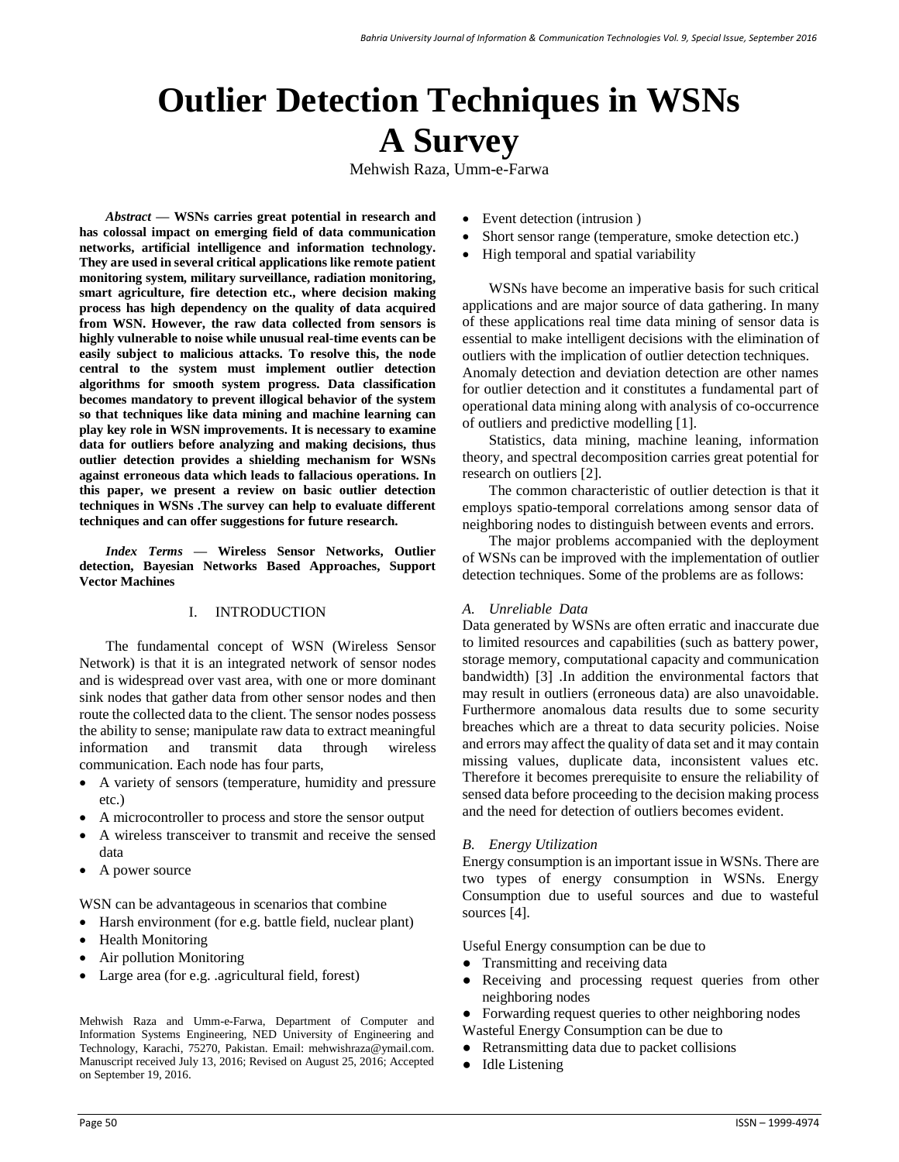# **Outlier Detection Techniques in WSNs A Survey**

Mehwish Raza, Umm-e-Farwa

*Abstract* **— WSNs carries great potential in research and has colossal impact on emerging field of data communication networks, artificial intelligence and information technology. They are used in several critical applications like remote patient monitoring system, military surveillance, radiation monitoring, smart agriculture, fire detection etc., where decision making process has high dependency on the quality of data acquired from WSN. However, the raw data collected from sensors is highly vulnerable to noise while unusual real-time events can be easily subject to malicious attacks. To resolve this, the node central to the system must implement outlier detection algorithms for smooth system progress. Data classification becomes mandatory to prevent illogical behavior of the system so that techniques like data mining and machine learning can play key role in WSN improvements. It is necessary to examine data for outliers before analyzing and making decisions, thus outlier detection provides a shielding mechanism for WSNs against erroneous data which leads to fallacious operations. In this paper, we present a review on basic outlier detection techniques in WSNs .The survey can help to evaluate different techniques and can offer suggestions for future research.**

*Index Terms* **— Wireless Sensor Networks, Outlier detection, Bayesian Networks Based Approaches, Support Vector Machines**

# I. INTRODUCTION

The fundamental concept of WSN (Wireless Sensor Network) is that it is an integrated network of sensor nodes and is widespread over vast area, with one or more dominant sink nodes that gather data from other sensor nodes and then route the collected data to the client. The sensor nodes possess the ability to sense; manipulate raw data to extract meaningful information and transmit data through wireless communication. Each node has four parts,

- A variety of sensors (temperature, humidity and pressure etc.)
- A microcontroller to process and store the sensor output
- A wireless transceiver to transmit and receive the sensed data
- A power source

WSN can be advantageous in scenarios that combine

- Harsh environment (for e.g. battle field, nuclear plant)
- Health Monitoring
- Air pollution Monitoring
- Large area (for e.g. .agricultural field, forest)

Mehwish Raza and Umm-e-Farwa, Department of Computer and Information Systems Engineering, NED University of Engineering and Technology, Karachi, 75270, Pakistan. Email: mehwishraza@ymail.com. Manuscript received July 13, 2016; Revised on August 25, 2016; Accepted on September 19, 2016.

- Event detection (intrusion)
- Short sensor range (temperature, smoke detection etc.)
- High temporal and spatial variability

WSNs have become an imperative basis for such critical applications and are major source of data gathering. In many of these applications real time data mining of sensor data is essential to make intelligent decisions with the elimination of outliers with the implication of outlier detection techniques. Anomaly detection and deviation detection are other names for outlier detection and it constitutes a fundamental part of operational data mining along with analysis of co-occurrence of outliers and predictive modelling [1].

Statistics, data mining, machine leaning, information theory, and spectral decomposition carries great potential for research on outliers [2].

The common characteristic of outlier detection is that it employs spatio-temporal correlations among sensor data of neighboring nodes to distinguish between events and errors.

The major problems accompanied with the deployment of WSNs can be improved with the implementation of outlier detection techniques. Some of the problems are as follows:

# *A. Unreliable Data*

Data generated by WSNs are often erratic and inaccurate due to limited resources and capabilities (such as battery power, storage memory, computational capacity and communication bandwidth) [3] .In addition the environmental factors that may result in outliers (erroneous data) are also unavoidable. Furthermore anomalous data results due to some security breaches which are a threat to data security policies. Noise and errors may affect the quality of data set and it may contain missing values, duplicate data, inconsistent values etc. Therefore it becomes prerequisite to ensure the reliability of sensed data before proceeding to the decision making process and the need for detection of outliers becomes evident.

# *B. Energy Utilization*

Energy consumption is an important issue in WSNs. There are two types of energy consumption in WSNs. Energy Consumption due to useful sources and due to wasteful sources [4].

Useful Energy consumption can be due to

- Transmitting and receiving data
- Receiving and processing request queries from other neighboring nodes
- Forwarding request queries to other neighboring nodes
- Wasteful Energy Consumption can be due to
- Retransmitting data due to packet collisions
- **Idle Listening**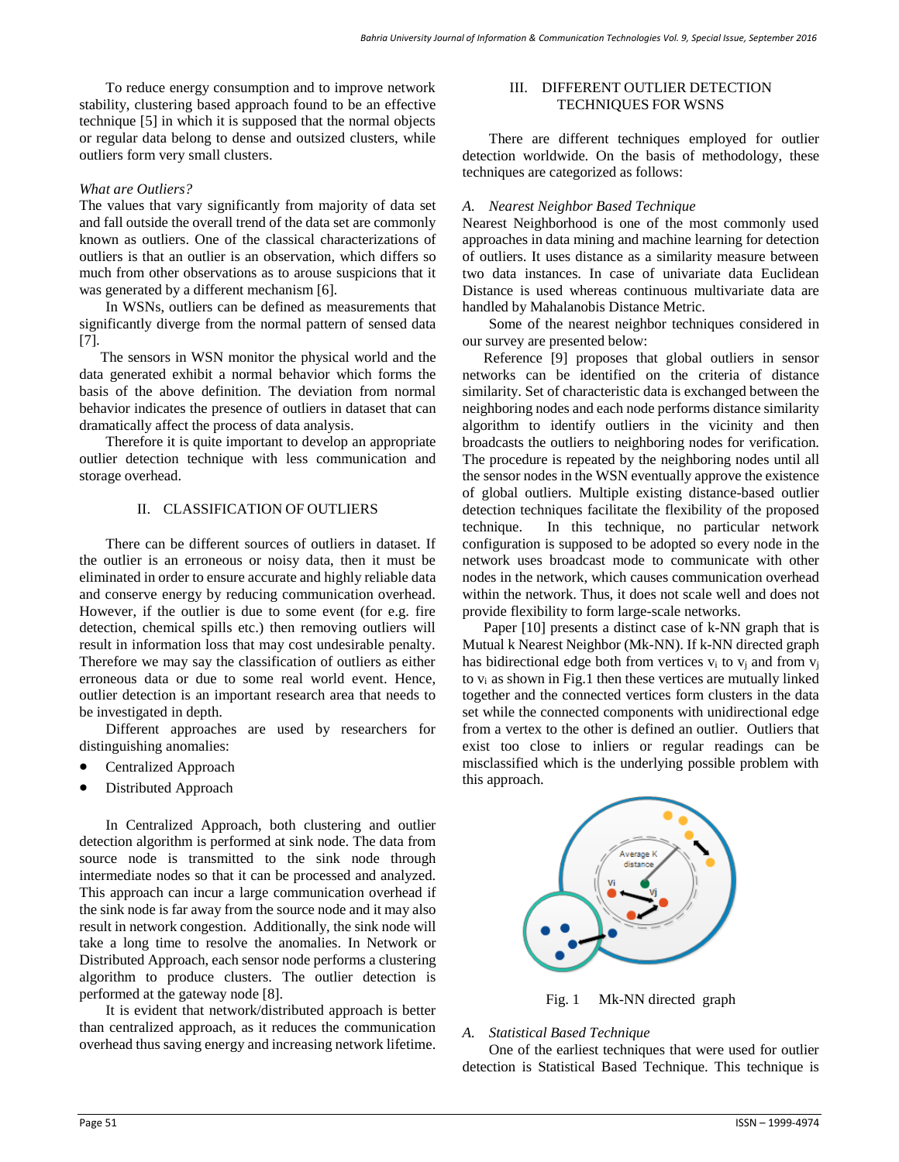To reduce energy consumption and to improve network stability, clustering based approach found to be an effective technique [5] in which it is supposed that the normal objects or regular data belong to dense and outsized clusters, while outliers form very small clusters.

## *What are Outliers?*

The values that vary significantly from majority of data set and fall outside the overall trend of the data set are commonly known as outliers. One of the classical characterizations of outliers is that an outlier is an observation, which differs so much from other observations as to arouse suspicions that it was generated by a different mechanism [6].

In WSNs, outliers can be defined as measurements that significantly diverge from the normal pattern of sensed data [7].

The sensors in WSN monitor the physical world and the data generated exhibit a normal behavior which forms the basis of the above definition. The deviation from normal behavior indicates the presence of outliers in dataset that can dramatically affect the process of data analysis.

Therefore it is quite important to develop an appropriate outlier detection technique with less communication and storage overhead.

# II. CLASSIFICATION OF OUTLIERS

There can be different sources of outliers in dataset. If the outlier is an erroneous or noisy data, then it must be eliminated in order to ensure accurate and highly reliable data and conserve energy by reducing communication overhead. However, if the outlier is due to some event (for e.g. fire detection, chemical spills etc.) then removing outliers will result in information loss that may cost undesirable penalty. Therefore we may say the classification of outliers as either erroneous data or due to some real world event. Hence, outlier detection is an important research area that needs to be investigated in depth.

Different approaches are used by researchers for distinguishing anomalies:

- Centralized Approach
- Distributed Approach

In Centralized Approach, both clustering and outlier detection algorithm is performed at sink node. The data from source node is transmitted to the sink node through intermediate nodes so that it can be processed and analyzed. This approach can incur a large communication overhead if the sink node is far away from the source node and it may also result in network congestion. Additionally, the sink node will take a long time to resolve the anomalies. In Network or Distributed Approach, each sensor node performs a clustering algorithm to produce clusters. The outlier detection is performed at the gateway node [8].

It is evident that network/distributed approach is better than centralized approach, as it reduces the communication overhead thus saving energy and increasing network lifetime.

## III. DIFFERENT OUTLIER DETECTION TECHNIQUES FOR WSNS

There are different techniques employed for outlier detection worldwide. On the basis of methodology, these techniques are categorized as follows:

#### *A. Nearest Neighbor Based Technique*

Nearest Neighborhood is one of the most commonly used approaches in data mining and machine learning for detection of outliers. It uses distance as a similarity measure between two data instances. In case of univariate data Euclidean Distance is used whereas continuous multivariate data are handled by Mahalanobis Distance Metric.

Some of the nearest neighbor techniques considered in our survey are presented below:

Reference [9] proposes that global outliers in sensor networks can be identified on the criteria of distance similarity. Set of characteristic data is exchanged between the neighboring nodes and each node performs distance similarity algorithm to identify outliers in the vicinity and then broadcasts the outliers to neighboring nodes for verification. The procedure is repeated by the neighboring nodes until all the sensor nodes in the WSN eventually approve the existence of global outliers. Multiple existing distance-based outlier detection techniques facilitate the flexibility of the proposed technique. In this technique, no particular network configuration is supposed to be adopted so every node in the network uses broadcast mode to communicate with other nodes in the network, which causes communication overhead within the network. Thus, it does not scale well and does not provide flexibility to form large-scale networks.

Paper [10] presents a distinct case of k-NN graph that is Mutual k Nearest Neighbor (Mk-NN). If k-NN directed graph has bidirectional edge both from vertices  $v_i$  to  $v_j$  and from  $v_j$ to vi as shown in Fig.1 then these vertices are mutually linked together and the connected vertices form clusters in the data set while the connected components with unidirectional edge from a vertex to the other is defined an outlier. Outliers that exist too close to inliers or regular readings can be misclassified which is the underlying possible problem with this approach.



Fig. 1 Mk-NN directed graph

# *A. Statistical Based Technique*

One of the earliest techniques that were used for outlier detection is Statistical Based Technique. This technique is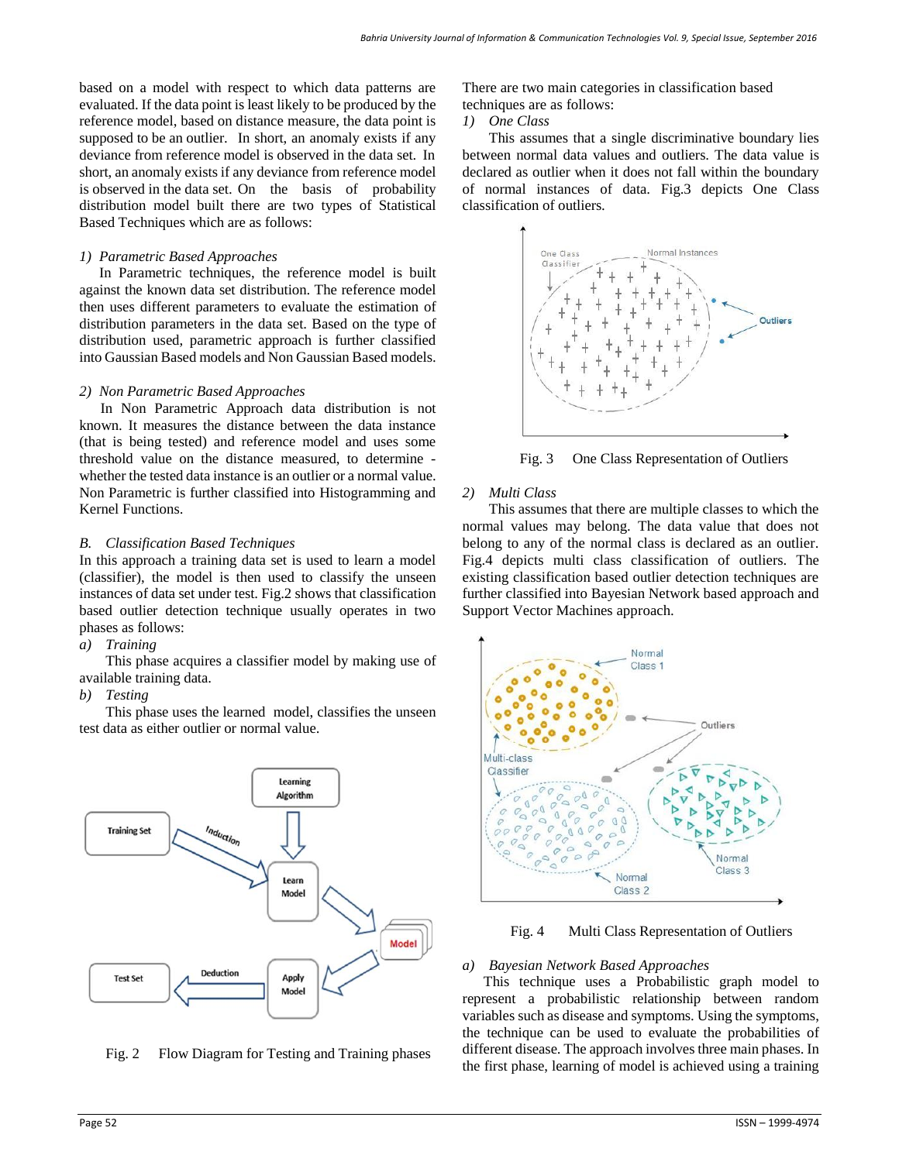based on a model with respect to which data patterns are evaluated. If the data point is least likely to be produced by the reference model, based on distance measure, the data point is supposed to be an outlier. In short, an anomaly exists if any deviance from reference model is observed in the data set. In short, an anomaly exists if any deviance from reference model is observed in the data set. On the basis of probability distribution model built there are two types of Statistical Based Techniques which are as follows:

## *1) Parametric Based Approaches*

In Parametric techniques, the reference model is built against the known data set distribution. The reference model then uses different parameters to evaluate the estimation of distribution parameters in the data set. Based on the type of distribution used, parametric approach is further classified into Gaussian Based models and Non Gaussian Based models.

## *2) Non Parametric Based Approaches*

In Non Parametric Approach data distribution is not known. It measures the distance between the data instance (that is being tested) and reference model and uses some threshold value on the distance measured, to determine whether the tested data instance is an outlier or a normal value. Non Parametric is further classified into Histogramming and Kernel Functions.

## *B. Classification Based Techniques*

In this approach a training data set is used to learn a model (classifier), the model is then used to classify the unseen instances of data set under test. Fig.2 shows that classification based outlier detection technique usually operates in two phases as follows:

## *a) Training*

This phase acquires a classifier model by making use of available training data.

#### *b) Testing*

This phase uses the learned model, classifies the unseen test data as either outlier or normal value.



Fig. 2 Flow Diagram for Testing and Training phases

There are two main categories in classification based techniques are as follows:

*1) One Class*

This assumes that a single discriminative boundary lies between normal data values and outliers. The data value is declared as outlier when it does not fall within the boundary of normal instances of data. Fig.3 depicts One Class classification of outliers.



Fig. 3 One Class Representation of Outliers

# *2) Multi Class*

This assumes that there are multiple classes to which the normal values may belong. The data value that does not belong to any of the normal class is declared as an outlier. Fig.4 depicts multi class classification of outliers. The existing classification based outlier detection techniques are further classified into Bayesian Network based approach and Support Vector Machines approach.



Fig. 4 Multi Class Representation of Outliers

#### *a) Bayesian Network Based Approaches*

This technique uses a Probabilistic graph model to represent a probabilistic relationship between random variables such as disease and symptoms. Using the symptoms, the technique can be used to evaluate the probabilities of different disease. The approach involves three main phases. In the first phase, learning of model is achieved using a training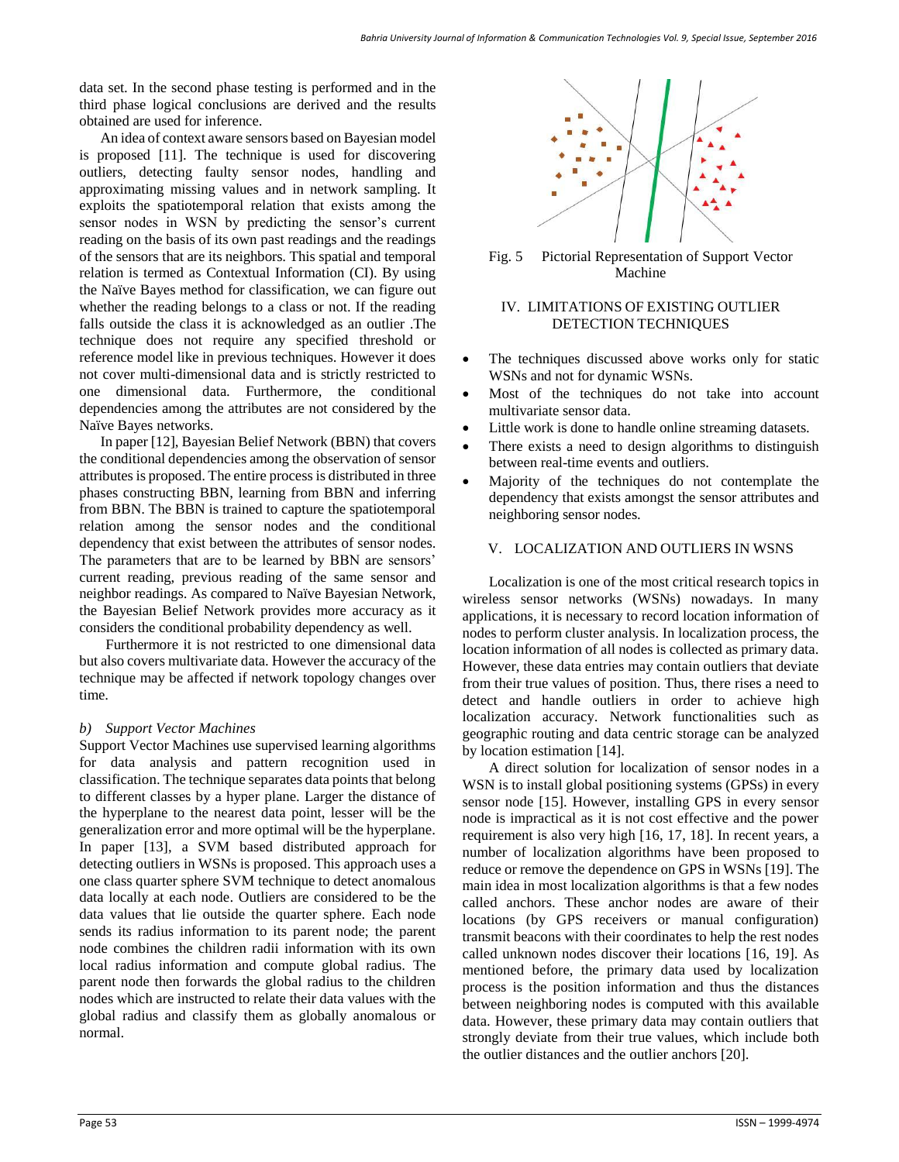data set. In the second phase testing is performed and in the third phase logical conclusions are derived and the results obtained are used for inference.

An idea of context aware sensors based on Bayesian model is proposed [11]. The technique is used for discovering outliers, detecting faulty sensor nodes, handling and approximating missing values and in network sampling. It exploits the spatiotemporal relation that exists among the sensor nodes in WSN by predicting the sensor's current reading on the basis of its own past readings and the readings of the sensors that are its neighbors. This spatial and temporal relation is termed as Contextual Information (CI). By using the Naïve Bayes method for classification, we can figure out whether the reading belongs to a class or not. If the reading falls outside the class it is acknowledged as an outlier .The technique does not require any specified threshold or reference model like in previous techniques. However it does not cover multi-dimensional data and is strictly restricted to one dimensional data. Furthermore, the conditional dependencies among the attributes are not considered by the Naïve Bayes networks.

In paper [12], Bayesian Belief Network (BBN) that covers the conditional dependencies among the observation of sensor attributes is proposed. The entire processis distributed in three phases constructing BBN, learning from BBN and inferring from BBN. The BBN is trained to capture the spatiotemporal relation among the sensor nodes and the conditional dependency that exist between the attributes of sensor nodes. The parameters that are to be learned by BBN are sensors' current reading, previous reading of the same sensor and neighbor readings. As compared to Naïve Bayesian Network, the Bayesian Belief Network provides more accuracy as it considers the conditional probability dependency as well.

Furthermore it is not restricted to one dimensional data but also covers multivariate data. However the accuracy of the technique may be affected if network topology changes over time.

# *b) Support Vector Machines*

Support Vector Machines use supervised learning algorithms for data analysis and pattern recognition used in classification. The technique separates data points that belong to different classes by a hyper plane. Larger the distance of the hyperplane to the nearest data point, lesser will be the generalization error and more optimal will be the hyperplane. In paper [13], a SVM based distributed approach for detecting outliers in WSNs is proposed. This approach uses a one class quarter sphere SVM technique to detect anomalous data locally at each node. Outliers are considered to be the data values that lie outside the quarter sphere. Each node sends its radius information to its parent node; the parent node combines the children radii information with its own local radius information and compute global radius. The parent node then forwards the global radius to the children nodes which are instructed to relate their data values with the global radius and classify them as globally anomalous or normal.



Fig. 5 Pictorial Representation of Support Vector Machine

# IV. LIMITATIONS OF EXISTING OUTLIER DETECTION TECHNIQUES

- The techniques discussed above works only for static WSNs and not for dynamic WSNs.
- Most of the techniques do not take into account multivariate sensor data.
- Little work is done to handle online streaming datasets.
- There exists a need to design algorithms to distinguish between real-time events and outliers.
- Majority of the techniques do not contemplate the dependency that exists amongst the sensor attributes and neighboring sensor nodes.

# V. LOCALIZATION AND OUTLIERS IN WSNS

Localization is one of the most critical research topics in wireless sensor networks (WSNs) nowadays. In many applications, it is necessary to record location information of nodes to perform cluster analysis. In localization process, the location information of all nodes is collected as primary data. However, these data entries may contain outliers that deviate from their true values of position. Thus, there rises a need to detect and handle outliers in order to achieve high localization accuracy. Network functionalities such as geographic routing and data centric storage can be analyzed by location estimation [14].

A direct solution for localization of sensor nodes in a WSN is to install global positioning systems (GPSs) in every sensor node [15]. However, installing GPS in every sensor node is impractical as it is not cost effective and the power requirement is also very high [16, 17, 18]. In recent years, a number of localization algorithms have been proposed to reduce or remove the dependence on GPS in WSNs [19]. The main idea in most localization algorithms is that a few nodes called anchors. These anchor nodes are aware of their locations (by GPS receivers or manual configuration) transmit beacons with their coordinates to help the rest nodes called unknown nodes discover their locations [16, 19]. As mentioned before, the primary data used by localization process is the position information and thus the distances between neighboring nodes is computed with this available data. However, these primary data may contain outliers that strongly deviate from their true values, which include both the outlier distances and the outlier anchors [20].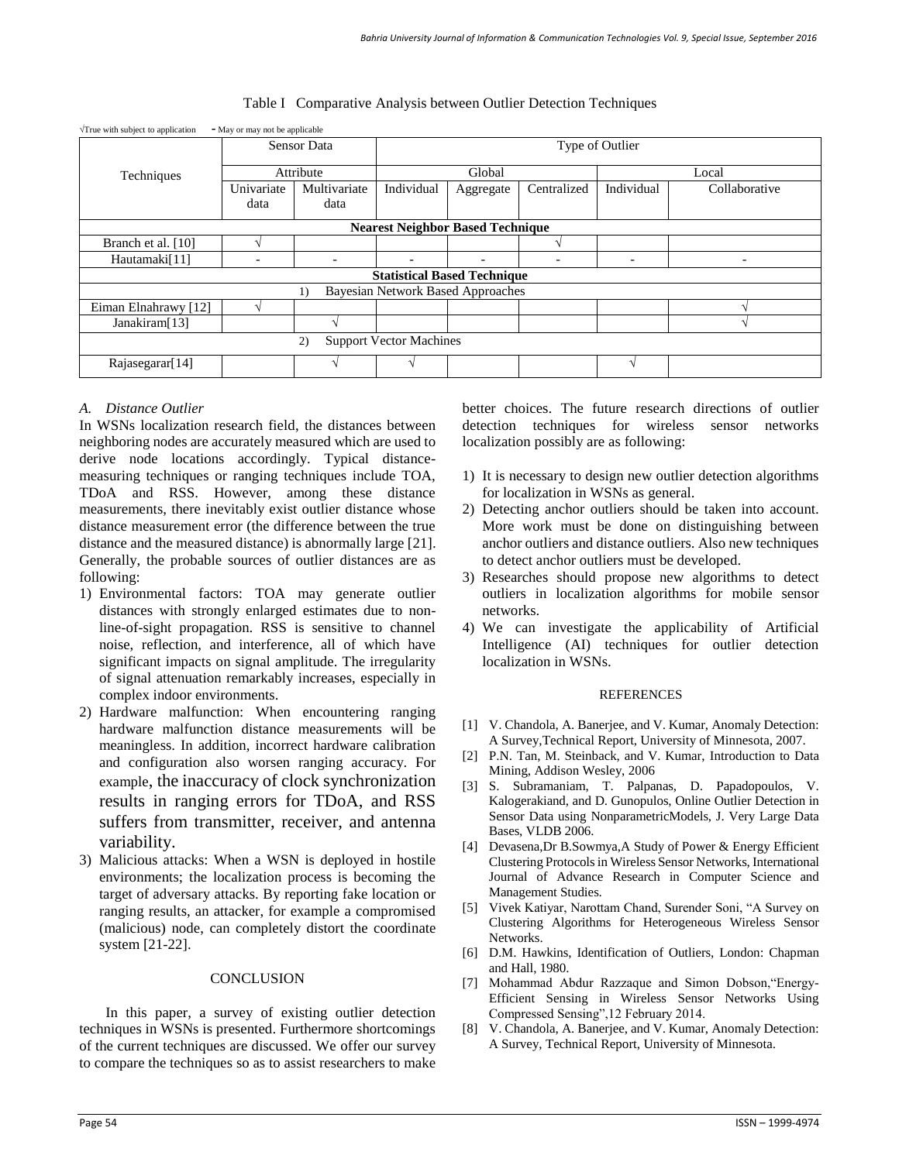| $\sqrt{T}$ rue with subject to application     | • May or may not be applicable |              |                 |                          |                          |                          |                          |
|------------------------------------------------|--------------------------------|--------------|-----------------|--------------------------|--------------------------|--------------------------|--------------------------|
| Techniques                                     | <b>Sensor Data</b>             |              | Type of Outlier |                          |                          |                          |                          |
|                                                | Attribute                      |              | Global          |                          |                          | Local                    |                          |
|                                                | Univariate                     | Multivariate | Individual      | Aggregate                | Centralized              | Individual               | Collaborative            |
|                                                | data                           | data         |                 |                          |                          |                          |                          |
| <b>Nearest Neighbor Based Technique</b>        |                                |              |                 |                          |                          |                          |                          |
| Branch et al. [10]                             |                                |              |                 |                          |                          |                          |                          |
| Hautamaki[11]                                  |                                |              |                 | $\overline{\phantom{0}}$ | $\overline{\phantom{0}}$ | $\overline{\phantom{0}}$ | $\overline{\phantom{0}}$ |
| <b>Statistical Based Technique</b>             |                                |              |                 |                          |                          |                          |                          |
| <b>Bayesian Network Based Approaches</b><br>1) |                                |              |                 |                          |                          |                          |                          |
| Eiman Elnahrawy [12]                           |                                |              |                 |                          |                          |                          |                          |
| Janakiram[13]                                  |                                |              |                 |                          |                          |                          |                          |
| <b>Support Vector Machines</b><br>2)           |                                |              |                 |                          |                          |                          |                          |
| Rajasegarar[14]                                |                                |              |                 |                          |                          | $\mathcal N$             |                          |

# Table I Comparative Analysis between Outlier Detection Techniques

# *A. Distance Outlier*

In WSNs localization research field, the distances between neighboring nodes are accurately measured which are used to derive node locations accordingly. Typical distancemeasuring techniques or ranging techniques include TOA, TDoA and RSS. However, among these distance measurements, there inevitably exist outlier distance whose distance measurement error (the difference between the true distance and the measured distance) is abnormally large [21]. Generally, the probable sources of outlier distances are as following:

- 1) Environmental factors: TOA may generate outlier distances with strongly enlarged estimates due to nonline-of-sight propagation. RSS is sensitive to channel noise, reflection, and interference, all of which have significant impacts on signal amplitude. The irregularity of signal attenuation remarkably increases, especially in complex indoor environments.
- 2) Hardware malfunction: When encountering ranging hardware malfunction distance measurements will be meaningless. In addition, incorrect hardware calibration and configuration also worsen ranging accuracy. For example, the inaccuracy of clock synchronization results in ranging errors for TDoA, and RSS suffers from transmitter, receiver, and antenna variability.
- 3) Malicious attacks: When a WSN is deployed in hostile environments; the localization process is becoming the target of adversary attacks. By reporting fake location or ranging results, an attacker, for example a compromised (malicious) node, can completely distort the coordinate system [21-22].

# **CONCLUSION**

In this paper, a survey of existing outlier detection techniques in WSNs is presented. Furthermore shortcomings of the current techniques are discussed. We offer our survey to compare the techniques so as to assist researchers to make better choices. The future research directions of outlier detection techniques for wireless sensor networks localization possibly are as following:

- 1) It is necessary to design new outlier detection algorithms for localization in WSNs as general.
- 2) Detecting anchor outliers should be taken into account. More work must be done on distinguishing between anchor outliers and distance outliers. Also new techniques to detect anchor outliers must be developed.
- 3) Researches should propose new algorithms to detect outliers in localization algorithms for mobile sensor networks.
- 4) We can investigate the applicability of Artificial Intelligence (AI) techniques for outlier detection localization in WSNs.

#### **REFERENCES**

- [1] V. Chandola, A. Banerjee, and V. Kumar, Anomaly Detection: A Survey,Technical Report, University of Minnesota, 2007.
- [2] P.N. Tan, M. Steinback, and V. Kumar, Introduction to Data Mining, Addison Wesley, 2006
- [3] S. Subramaniam, T. Palpanas, D. Papadopoulos, V. Kalogerakiand, and D. Gunopulos, Online Outlier Detection in Sensor Data using NonparametricModels, J. Very Large Data Bases, VLDB 2006.
- [4] Devasena,Dr B.Sowmya,A Study of Power & Energy Efficient Clustering Protocols in Wireless Sensor Networks, International Journal of Advance Research in Computer Science and Management Studies.
- [5] Vivek Katiyar, Narottam Chand, Surender Soni, "A Survey on Clustering Algorithms for Heterogeneous Wireless Sensor Networks.
- [6] D.M. Hawkins, Identification of Outliers, London: Chapman and Hall, 1980.
- [7] Mohammad Abdur Razzaque and Simon Dobson,"Energy-Efficient Sensing in Wireless Sensor Networks Using Compressed Sensing",12 February 2014.
- [8] V. Chandola, A. Banerjee, and V. Kumar, Anomaly Detection: A Survey, Technical Report, University of Minnesota.